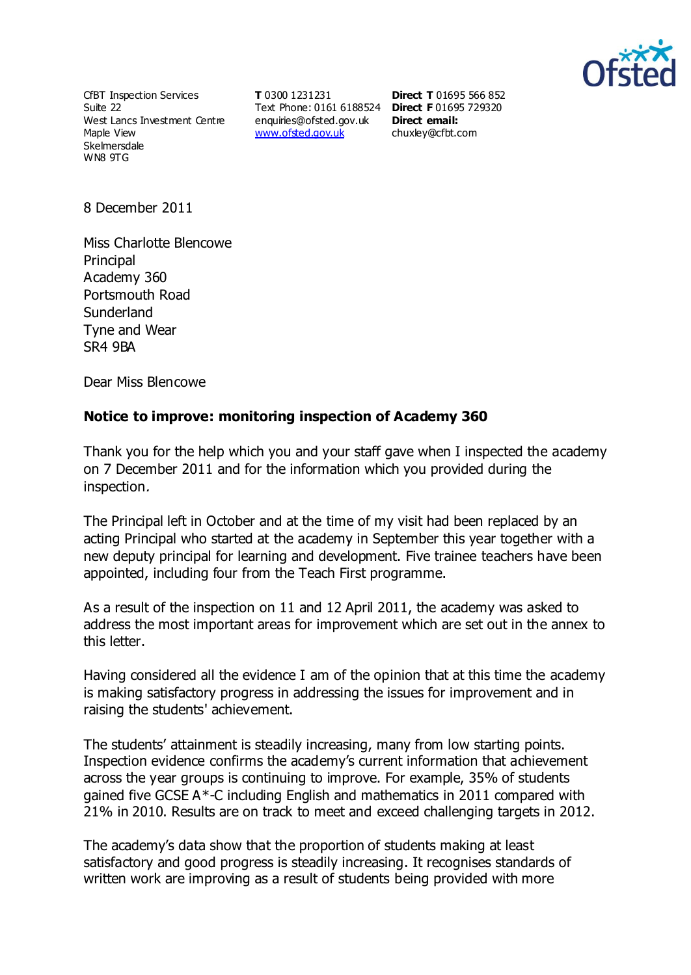

CfBT Inspection Services Suite 22 West Lancs Investment Centre Maple View Skelmersdale WN8 9TG

**T** 0300 1231231 Text Phone: 0161 6188524 **Direct F** 01695 729320 [enquiries@ofsted.gov.uk](http://mailto:enquiries@ofsted.gov.uk/) **Direct email:**  [www.ofsted.gov.uk](http://www.ofsted.gov.uk/)

**Direct T** 01695 566 852 [chuxley@cfbt.com](file:///C:\Users\phancock\AppData\Local\Microsoft\Windows\Temporary%20Internet%20Files\OLK94A1\chuxley@cfbt.com)

8 December 2011

Miss Charlotte Blencowe Principal Academy 360 Portsmouth Road Sunderland Tyne and Wear SR4 9BA

Dear Miss Blencowe

## **Notice to improve: monitoring inspection of Academy 360**

Thank you for the help which you and your staff gave when I inspected the academy on 7 December 2011 and for the information which you provided during the inspection.

The Principal left in October and at the time of my visit had been replaced by an acting Principal who started at the academy in September this year together with a new deputy principal for learning and development. Five trainee teachers have been appointed, including four from the Teach First programme.

As a result of the inspection on 11 and 12 April 2011, the academy was asked to address the most important areas for improvement which are set out in the annex to this letter.

Having considered all the evidence I am of the opinion that at this time the academy is making satisfactory progress in addressing the issues for improvement and in raising the students' achievement.

The students' attainment is steadily increasing, many from low starting points. Inspection evidence confirms the academy's current information that achievement across the year groups is continuing to improve. For example, 35% of students gained five GCSE A\*-C including English and mathematics in 2011 compared with 21% in 2010. Results are on track to meet and exceed challenging targets in 2012.

The academy's data show that the proportion of students making at least satisfactory and good progress is steadily increasing. It recognises standards of written work are improving as a result of students being provided with more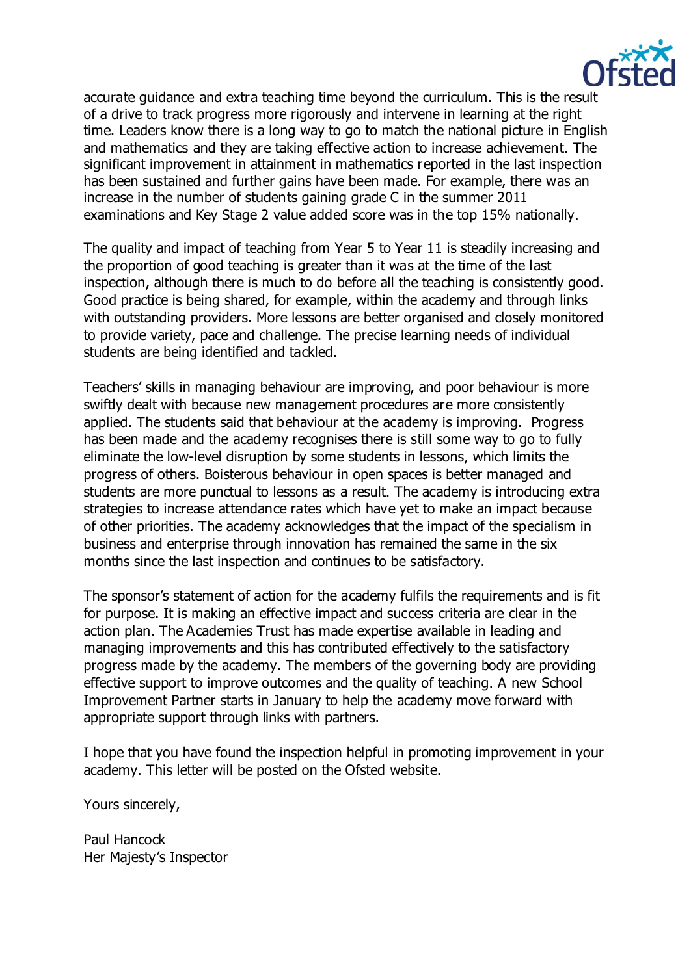

accurate guidance and extra teaching time beyond the curriculum. This is the result of a drive to track progress more rigorously and intervene in learning at the right time. Leaders know there is a long way to go to match the national picture in English and mathematics and they are taking effective action to increase achievement. The significant improvement in attainment in mathematics reported in the last inspection has been sustained and further gains have been made. For example, there was an increase in the number of students gaining grade C in the summer 2011 examinations and Key Stage 2 value added score was in the top 15% nationally.

The quality and impact of teaching from Year 5 to Year 11 is steadily increasing and the proportion of good teaching is greater than it was at the time of the last inspection, although there is much to do before all the teaching is consistently good. Good practice is being shared, for example, within the academy and through links with outstanding providers. More lessons are better organised and closely monitored to provide variety, pace and challenge. The precise learning needs of individual students are being identified and tackled.

Teachers' skills in managing behaviour are improving, and poor behaviour is more swiftly dealt with because new management procedures are more consistently applied. The students said that behaviour at the academy is improving. Progress has been made and the academy recognises there is still some way to go to fully eliminate the low-level disruption by some students in lessons, which limits the progress of others. Boisterous behaviour in open spaces is better managed and students are more punctual to lessons as a result. The academy is introducing extra strategies to increase attendance rates which have yet to make an impact because of other priorities. The academy acknowledges that the impact of the specialism in business and enterprise through innovation has remained the same in the six months since the last inspection and continues to be satisfactory.

The sponsor's statement of action for the academy fulfils the requirements and is fit for purpose. It is making an effective impact and success criteria are clear in the action plan. The Academies Trust has made expertise available in leading and managing improvements and this has contributed effectively to the satisfactory progress made by the academy. The members of the governing body are providing effective support to improve outcomes and the quality of teaching. A new School Improvement Partner starts in January to help the academy move forward with appropriate support through links with partners.

I hope that you have found the inspection helpful in promoting improvement in your academy. This letter will be posted on the Ofsted website.

Yours sincerely,

Paul Hancock Her Majesty's Inspector